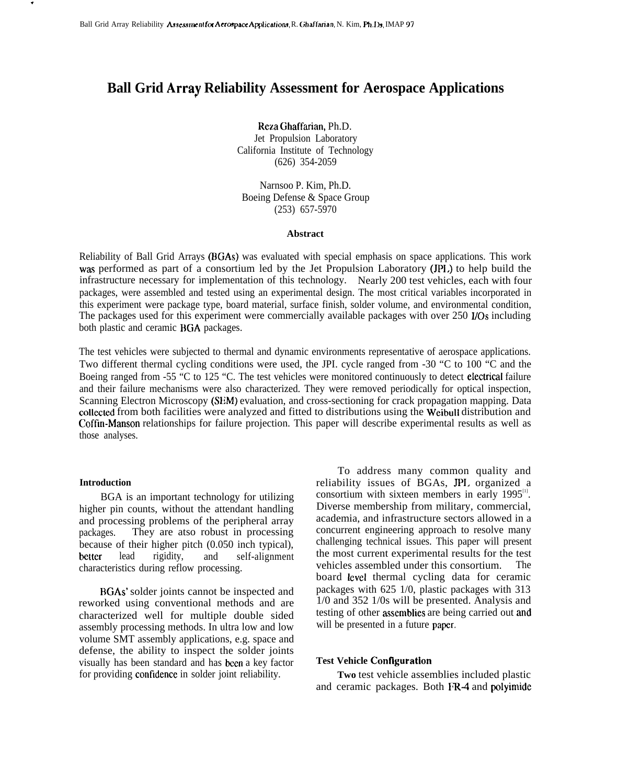# **Ball Grid Array Reliability Assessment for Aerospace Applications**

Reza Ghaffarian, Ph.D. Jet Propulsion Laboratory California Institute of Technology (626) 354-2059

Narnsoo P. Kim, Ph.D. Boeing Defense & Space Group (253) 657-5970

#### **Abstract**

Reliability of Ball Grid Arrays (BGAs) was evaluated with special emphasis on space applications. This work was performed as part of a consortium led by the Jet Propulsion Laboratory (JPL) to help build the infrastructure necessary for implementation of this technology. Nearly 200 test vehicles, each with four packages, were assembled and tested using an experimental design. The most critical variables incorporated in this experiment were package type, board material, surface finish, solder volume, and environmental condition, The packages used for this experiment were commercially available packages with over 250 I/Os including both plastic and ceramic BGA packages.

The test vehicles were subjected to thermal and dynamic environments representative of aerospace applications. Two different thermal cycling conditions were used, the JPI. cycle ranged from -30 "C to 100 "C and the Boeing ranged from -55 "C to 125 "C. The test vehicles were monitored continuously to detect electrical failure and their failure mechanisms were also characterized. They were removed periodically for optical inspection, Scanning Electron Microscopy (SEM) evaluation, and cross-sectioning for crack propagation mapping. Data cottected from both facilities were analyzed and fitted to distributions using the Weibull distribution and Coftin-Manson relationships for failure projection. This paper will describe experimental results as well as those analyses.

#### **Introduction**

.

BGA is an important technology for utilizing higher pin counts, without the attendant handling and processing problems of the peripheral array packages. They are atso robust in processing because of their higher pitch (0.050 inch typical), better lead rigidity, and self-alignment characteristics during reflow processing.

BGAs' solder joints cannot be inspected and reworked using conventional methods and are characterized well for multiple double sided assembly processing methods. In ultra low and low volume SMT assembly applications, e.g. space and defense, the ability to inspect the solder joints visually has been standard and has been a key factor for providing confidence in solder joint reliability.

To address many common quality and reliability issues of BGAs, JPI. organized a consortium with sixteen members in early  $1995^{\text{m}}$ . Diverse membership from military, commercial, academia, and infrastructure sectors allowed in a concurrent engineering approach to resolve many challenging technical issues. This paper will present the most current experimental results for the test vehicles assembled under this consortium. The board level thermal cycling data for ceramic packages with 625 1/0, plastic packages with 313 1/0 and 352 1/0s will be presented. Analysis and testing of other assemblies are being carried out and will be presented in a future paper.

## **Test Vehicle Contlguration**

**Two** test vehicle assemblies included plastic and ceramic packages. Both FR4 and polyimide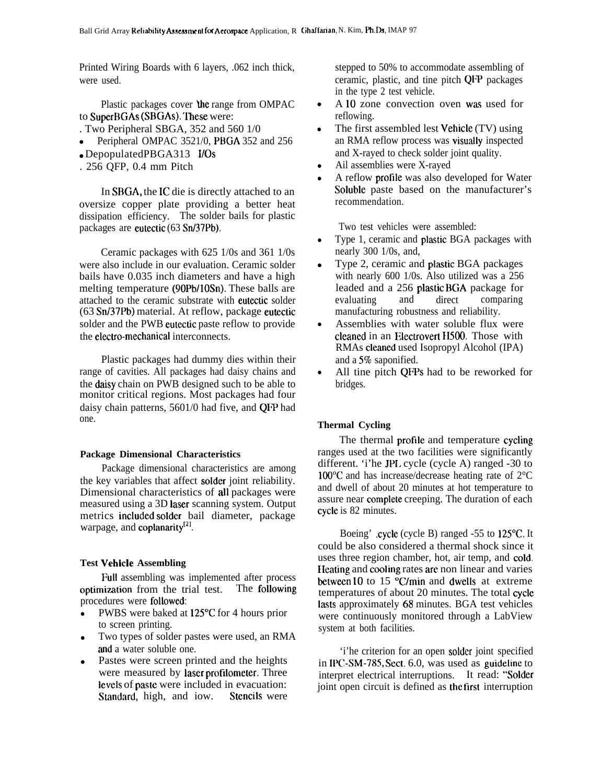Printed Wiring Boards with 6 layers, .062 inch thick, were used.

Plastic packages cover the range from OMPAC to SuperBGAs (SBGAs). These were:

- . Two Peripheral SBGA, 352 and 560 1/0
- Peripheral OMPAC 3521/0, PBGA 352 and 256
- DepopulatedPBGA313 I/Os
- . 256 QFP, 0.4 mm Pitch

In SBGA, the IC die is directly attached to an oversize copper plate providing a better heat dissipation efficiency. The solder bails for plastic packages are eutectic (63 Sn/37Pb).

Ceramic packages with 625 1/0s and 361 1/0s were also include in our evaluation. Ceramic solder bails have 0.035 inch diameters and have a high melting temperature (90Pb/10Sn). These balls are attached to the ceramic substrate with eutectic solder (63 Sn/37Pb) material. At reflow, package eutectic solder and the PWB eutectic paste reflow to provide the electro-mechanical interconnects.

Plastic packages had dummy dies within their range of cavities. All packages had daisy chains and the daisy chain on PWB designed such to be able to monitor critical regions. Most packages had four daisy chain patterns, 5601/0 had five, and QFP had one.

# **Package Dimensional Characteristics**

Package dimensional characteristics are among the key variables that affect soider joint reliability. Dimensional characteristics of ali packages were measured using a 3D iaser scanning system. Output metrics inciuded soider bail diameter, package warpage, and coplanarity<sup>[2]</sup>.

# **Test Vehicie Assembling**

Full assembling was implemented after process optimization from the trial test. The following procedures were followed:

- PWBS were baked at 125°C for 4 hours prior to screen printing.
- Two types of solder pastes were used, an RMA and a water soluble one.
- Pastes were screen printed and the heights were measured by iaser profiiometer. Three ievcls of paste were included in evacuation: Standard, high, and iow. Stencils were

stepped to 50% to accommodate assembling of ceramic, plastic, and tine pitch QFP packages in the type 2 test vehicle.

- A iO zone convection oven was used for reflowing.
- The first assembled lest Vehicle (TV) using an RMA reflow process was visually inspected and X-rayed to check solder joint quality.
- Ail assemblies were X-rayed
- A reflow profrie was also developed for Water Soluble paste based on the manufacturer's recommendation.

Two test vehicles were assembled:

- Type 1, ceramic and piastic BGA packages with nearly 300 1/0s, and,
- Type 2, ceramic and piastic BGA packages with nearly 600 1/0s. Also utilized was a 256 leaded and a 256 piastic BGA package for evaluating and direct comparing manufacturing robustness and reliability.
- Assemblies with water soluble flux were cieaned in an Electrovert 11500. Those with RMAs cieaned used Isopropyl Alcohol (IPA) and a 5% saponified.
- All tine pitch QFPs had to be reworked for bridges.

# **Thermal Cycling**

The thermal profile and temperature cycling ranges used at the two facilities were significantly different. 'i'he JPI. cycle (cycle A) ranged -30 to 100°C and has increase/decrease heating rate of 2°C and dwell of about 20 minutes at hot temperature to assure near compiete creeping. The duration of each cycle is 82 minutes.

Boeing' .cycle (cycle B) ranged -55 to 125°C. It could be also considered a thermal shock since it uses three region chamber, hot, air temp, and coid. Heating and cooling rates are non linear and varies between 10 to 15  $\degree$ C/min and dwells at extreme temperatures of about 20 minutes. The total cycie lasts approximately 68 minutes. BGA test vehicles were continuously monitored through a LabView system at both facilities.

'i'he criterion for an open soider joint specified in IPC-SM-785, Sect.  $6.0$ , was used as guideline to interpret electrical interruptions. It read: "Solder joint open circuit is defined as the first interruption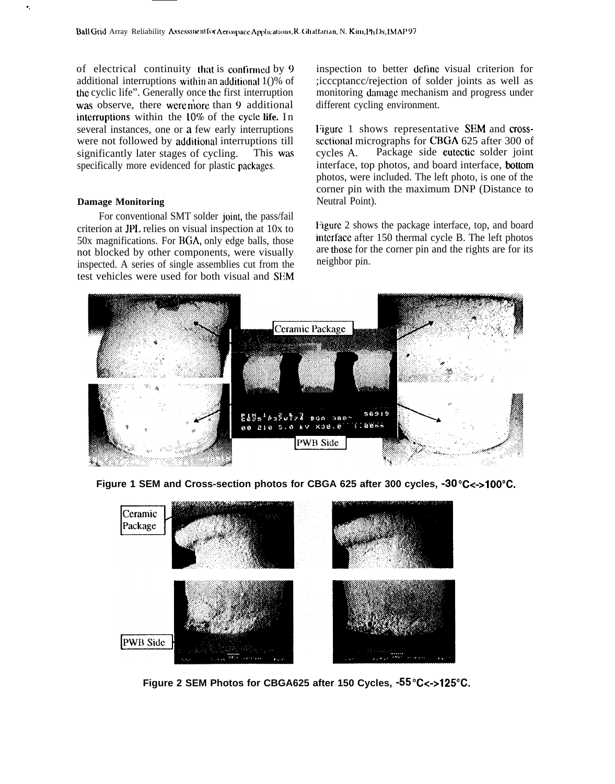of electrical continuity that is continued by  $9$ additional interruptions within an additional  $1()$ % of the cyclic life". Generally once the first interruption was observe, there were more than 9 additional interruptions within the 10% of the cycle life. In several instances, one or a few early interruptions were not followed by additional interruptions till significantly later stages of cycling. This was specifically more evidenced for plastic packages.

# **Damage Monitoring**

For conventional SMT solder joint, the pass/fail criterion at JPL relies on visual inspection at 10x to 50x magnifications. For BGA, only edge balls, those not blocked by other components, were visually inspected. A series of single assemblies cut from the test vehicles were used for both visual and SEM inspection to better define visual criterion for ;icccptancc/rejection of solder joints as well as monitoring damage mechanism and progress under different cycling environment.

Figure 1 shows representative SEM and crosssectional micrographs for CBGA 625 after 300 of cycles A. Package side eutectic solder joint interface, top photos, and board interface, kottom photos, were included. The left photo, is one of the corner pin with the maximum DNP (Distance to Neutral Point).

I'igurc 2 shows the package interface, top, and board intcrfacc after 150 thermal cycle B. The left photos are those for the corner pin and the rights are for its neighbor pin.



**Figure 1 SEM and Cross-section photos for CBGA 625 after 300 cycles, -30 °C<->100 °C.** 



Figure 2 SEM Photos for CBGA625 after 150 Cycles, -55°C<->125°C.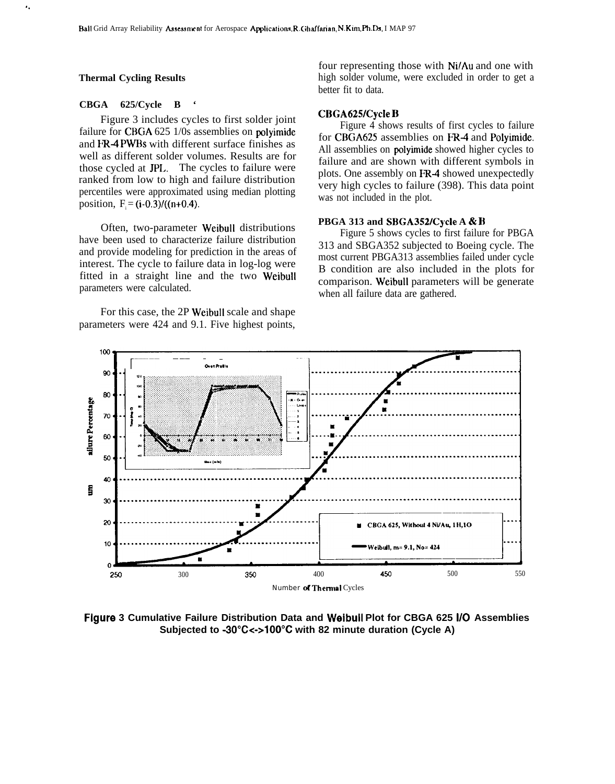# **Thermal Cycling Results**

. .

# **CBGA 625/Cycle B '**

Figure 3 includes cycles to first solder joint failure for CBGA 625 1/0s assemblies on polyimide and FR4 PWBS with different surface finishes as well as different solder volumes. Results are for those cycled at JPI.. The cycles to failure were ranked from low to high and failure distribution percentiles were approximated using median plotting position,  $F_i = (i-0.3)/(n+0.4)$ .

Often, two-parameter WeibuH distributions have been used to characterize failure distribution and provide modeling for prediction in the areas of interest. The cycle to failure data in log-log were fitted in a straight line and the two Weibull parameters were calculated.

For this case, the 2P Weibull scale and shape parameters were 424 and 9.1. Five highest points,

four representing those with Ni/Au and one with high solder volume, were excluded in order to get a better fit to data.

# **CBGA625/Cycle B**

Figure 4 shows results of first cycles to failure for CBGA625 assemblies on FR-4 and Polyimide. All assemblies on **polyimide** showed higher cycles to failure and are shown with different symbols in plots. One assembly on FR4 showed unexpectedly very high cycles to failure (398). This data point was not included in the plot.

## **PBGA 313 and SBGA352/Cycle A & B**

Figure 5 shows cycles to first failure for PBGA 313 and SBGA352 subjected to Boeing cycle. The most current PBGA313 assemblies failed under cycle B condition are also included in the plots for comparison. Weibull parameters will be generate when all failure data are gathered.



**Figure 3 Cumulative Failure Distribution Data and Weibull Plot for CBGA 625 1/0 Assemblies Subjected to -3O"C<+1OO"C with 82 minute duration (Cycle A)**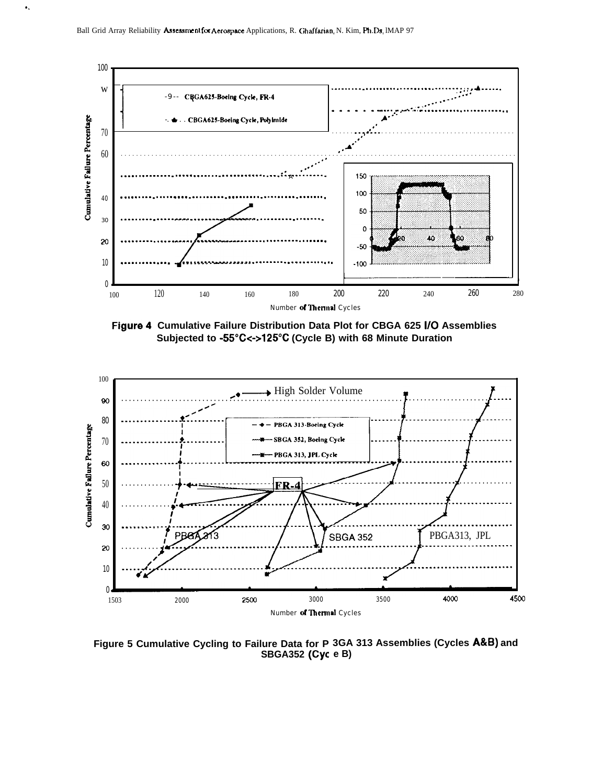$\bullet$  .



Figure 4 Cumulative Failure Distribution Data Plot for CBGA 625 I/O Assemblies Subjected to -55°C<->125°C (Cycle B) with 68 Minute Duration



Figure 5 Cumulative Cycling to Failure Data for P 3GA 313 Assemblies (Cycles A&B) and **SBGA352 (Cyc e B)**